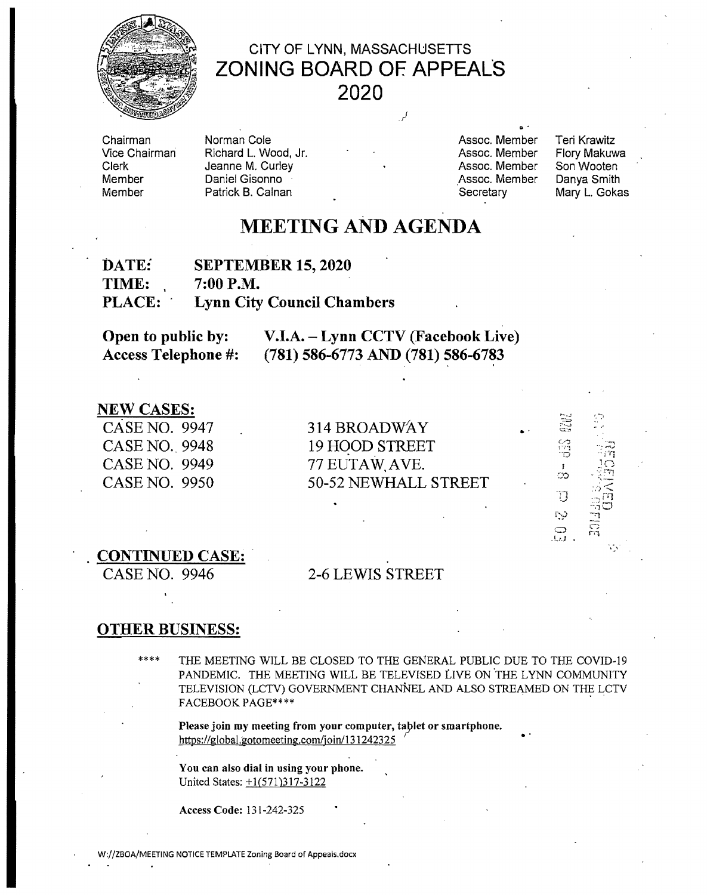

## CITY OF LYNN, MASSACHUSETTS ZONING BOARD OF. APPEALS 2020

Chairman Vice Chairman Clerk **Member** Member

Richard L. Wood, Jr. **Campion Communist Communist Communist Communist Communist Communist Communist Communist Communist Communist Communist Communist Communist Communist Communist Communist Communist Communist Communist Co** Jeanne M. Curley **All Assoc. Member Son Wooten**<br>
Daniel Gisonno **Assoc. Member Danya Smith**<br>
Assoc. Member Danya Smith Daniel Gisonno **Manuel Gisonno Companya Smith Assoc. Memories Assoc. Memories Assoc. Memories Assoc. Memories Assoc. Memories Assoc. Memories Assoc. Memories Assoc. Memories Assoc. Memories Assoc. Memories Assoc. Memories** 

Norman Cole Assoc. Member T eri Krawitz

...

Mary L. Gokas

 $\cdot$ i $\eta$ 

i::J  $\Omega$ 

း<br>တ

 $\overline{D}$ 

# MEETING AND AGENDA

| DATE:         | <b>SEPTEMBER 15, 2020</b>         |
|---------------|-----------------------------------|
| <b>TIME:</b>  | $7:00$ P.M.                       |
| <b>PLACE:</b> | <b>Lynn City Council Chambers</b> |

| Open to public by:         | V.I.A. – Lynn CCTV (Facebook Live)  |
|----------------------------|-------------------------------------|
| <b>Access Telephone #:</b> | $(781)$ 586-6773 AND (781) 586-6783 |

**NEW CASES:**<br>CASE NO. 9947 CASE NO. 9949  $77$  EUTAW, AVE.

314 BROADWAY CASE NO. 9948 19 HOOD STREET CASE NO. 9950 50-52 NEWHALL STREET

### CONTINUED CASE: .

## CASE NO. 9946 2-6 LEWIS STREET

### OTHER BUSINESS:

\*\*\*\* THE MEETING WILL BE CLOSED TO THE GENERAL PUBLIC DUE TO THE COVID-19 PANDEMIC. THE MEETING WILL BE TELEVISED LIVE ON 'THE LYNN COMMUNITY TELEVISION (LCTV) GOVERNMENT CHANNEL AND ALSO STREAMED ON THE LCTV FACEBOOK PAGE\*\*\*\*

Please join my meeting from your computer, tablet or smartphone.<br>https://global.gotomeeting.com/join/131242325

You can also dial in using your phone. United States: +1(571)317-3122

Access Code: 131-242-325